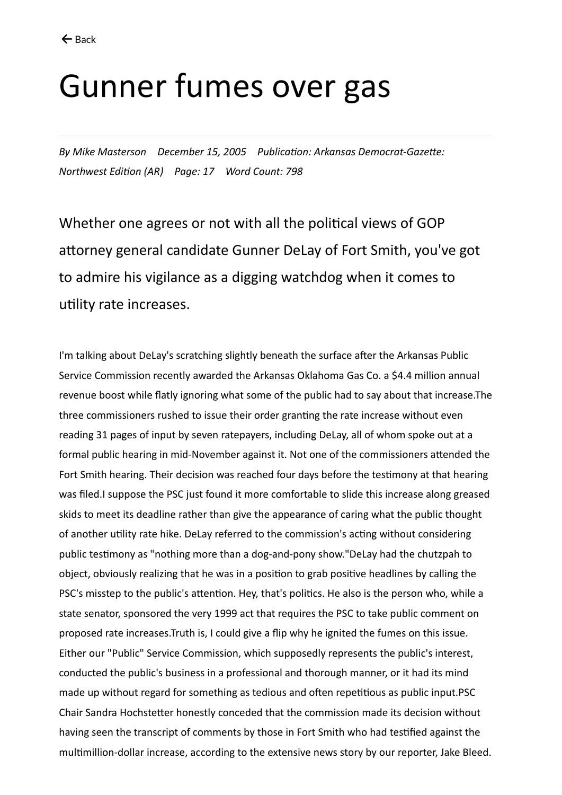## Gunner fumes over gas

*By Mike Masterson December 15, 2005 Publication: Arkansas Democrat-Gazette: Northwest Edition (AR) Page: 17 Word Count: 798*

Whether one agrees or not with all the political views of GOP attorney general candidate Gunner DeLay of Fort Smith, you've got to admire his vigilance as a digging watchdog when it comes to utility rate increases.

I'm talking about DeLay's scratching slightly beneath the surface after the Arkansas Public Service Commission recently awarded the Arkansas Oklahoma Gas Co. a \$4.4 million annual revenue boost while flatly ignoring what some of the public had to say about that increase.The three commissioners rushed to issue their order granting the rate increase without even reading 31 pages of input by seven ratepayers, including DeLay, all of whom spoke out at a formal public hearing in mid-November against it. Not one of the commissioners attended the Fort Smith hearing. Their decision was reached four days before the testimony at that hearing was filed.I suppose the PSC just found it more comfortable to slide this increase along greased skids to meet its deadline rather than give the appearance of caring what the public thought of another utility rate hike. DeLay referred to the commission's acting without considering public testimony as "nothing more than a dog-and-pony show."DeLay had the chutzpah to object, obviously realizing that he was in a position to grab positive headlines by calling the PSC's misstep to the public's attention. Hey, that's politics. He also is the person who, while a state senator, sponsored the very 1999 act that requires the PSC to take public comment on proposed rate increases.Truth is, I could give a flip why he ignited the fumes on this issue. Either our "Public" Service Commission, which supposedly represents the public's interest, conducted the public's business in a professional and thorough manner, or it had its mind made up without regard for something as tedious and often repetitious as public input.PSC Chair Sandra Hochstetter honestly conceded that the commission made its decision without having seen the transcript of comments by those in Fort Smith who had testified against the multimillion-dollar increase, according to the extensive news story by our reporter, Jake Bleed.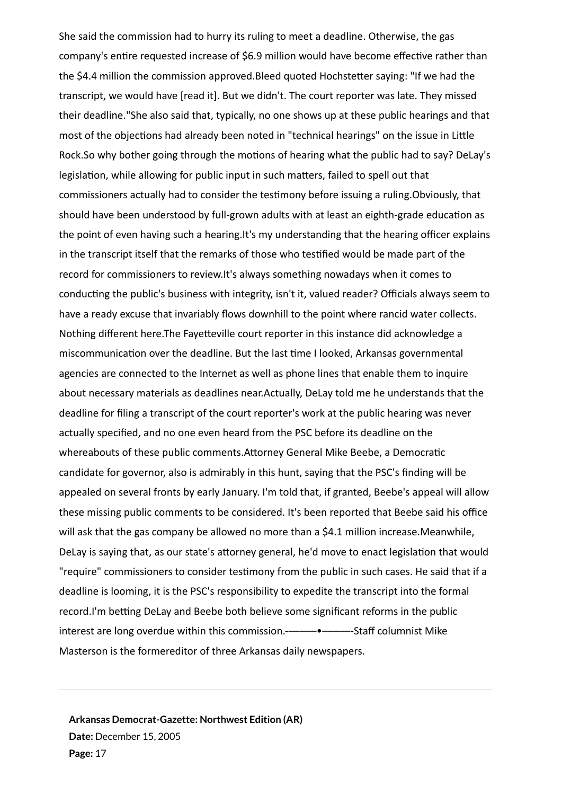She said the commission had to hurry its ruling to meet a deadline. Otherwise, the gas company's entire requested increase of \$6.9 million would have become effective rather than the \$4.4 million the commission approved.Bleed quoted Hochstetter saying: "If we had the transcript, we would have [read it]. But we didn't. The court reporter was late. They missed their deadline."She also said that, typically, no one shows up at these public hearings and that most of the objections had already been noted in "technical hearings" on the issue in Little Rock.So why bother going through the motions of hearing what the public had to say? DeLay's legislation, while allowing for public input in such matters, failed to spell out that commissioners actually had to consider the testimony before issuing a ruling.Obviously, that should have been understood by full-grown adults with at least an eighth-grade education as the point of even having such a hearing.It's my understanding that the hearing officer explains in the transcript itself that the remarks of those who testified would be made part of the record for commissioners to review.It's always something nowadays when it comes to conducting the public's business with integrity, isn't it, valued reader? Officials always seem to have a ready excuse that invariably flows downhill to the point where rancid water collects. Nothing different here.The Fayetteville court reporter in this instance did acknowledge a miscommunication over the deadline. But the last time I looked, Arkansas governmental agencies are connected to the Internet as well as phone lines that enable them to inquire about necessary materials as deadlines near.Actually, DeLay told me he understands that the deadline for filing a transcript of the court reporter's work at the public hearing was never actually specified, and no one even heard from the PSC before its deadline on the whereabouts of these public comments.Attorney General Mike Beebe, a Democratic candidate for governor, also is admirably in this hunt, saying that the PSC's finding will be appealed on several fronts by early January. I'm told that, if granted, Beebe's appeal will allow these missing public comments to be considered. It's been reported that Beebe said his office will ask that the gas company be allowed no more than a \$4.1 million increase.Meanwhile, DeLay is saying that, as our state's attorney general, he'd move to enact legislation that would "require" commissioners to consider testimony from the public in such cases. He said that if a deadline is looming, it is the PSC's responsibility to expedite the transcript into the formal record.I'm betting DeLay and Beebe both believe some significant reforms in the public interest are long overdue within this commission.--------------------------------Staff columnist Mike Masterson is the formereditor of three Arkansas daily newspapers.